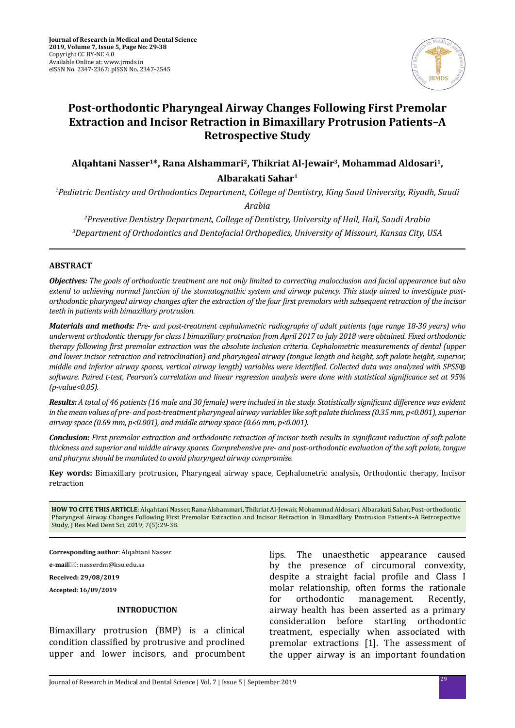

# **Post-orthodontic Pharyngeal Airway Changes Following First Premolar Extraction and Incisor Retraction in Bimaxillary Protrusion Patients–A Retrospective Study**

**Alqahtani Nasser1\*, Rana Alshammari2, Thikriat Al-Jewair3, Mohammad Aldosari1, Albarakati Sahar1**

*1 Pediatric Dentistry and Orthodontics Department, College of Dentistry, King Saud University, Riyadh, Saudi* 

*Arabia*

*2 Preventive Dentistry Department, College of Dentistry, University of Hail, Hail, Saudi Arabia 3 Department of Orthodontics and Dentofacial Orthopedics, University of Missouri, Kansas City, USA*

## **ABSTRACT**

*Objectives: The goals of orthodontic treatment are not only limited to correcting malocclusion and facial appearance but also extend to achieving normal function of the stomatognathic system and airway patency. This study aimed to investigate postorthodontic pharyngeal airway changes after the extraction of the four first premolars with subsequent retraction of the incisor teeth in patients with bimaxillary protrusion.* 

*Materials and methods: Pre- and post-treatment cephalometric radiographs of adult patients (age range 18-30 years) who underwent orthodontic therapy for class I bimaxillary protrusion from April 2017 to July 2018 were obtained. Fixed orthodontic therapy following first premolar extraction was the absolute inclusion criteria. Cephalometric measurements of dental (upper and lower incisor retraction and retroclination) and pharyngeal airway (tongue length and height, soft palate height, superior, middle and inferior airway spaces, vertical airway length) variables were identified. Collected data was analyzed with SPSS® software. Paired t-test, Pearson's correlation and linear regression analysis were done with statistical significance set at 95% (p-value<0.05).* 

*Results: A total of 46 patients (16 male and 30 female) were included in the study. Statistically significant difference was evident in the mean values of pre- and post-treatment pharyngeal airway variables like soft palate thickness (0.35 mm, p<0.001), superior airway space (0.69 mm, p<0.001), and middle airway space (0.66 mm, p<0.001).* 

*Conclusion: First premolar extraction and orthodontic retraction of incisor teeth results in significant reduction of soft palate thickness and superior and middle airway spaces. Comprehensive pre- and post-orthodontic evaluation of the soft palate, tongue and pharynx should be mandated to avoid pharyngeal airway compromise.*

**Key words:** Bimaxillary protrusion, Pharyngeal airway space, Cephalometric analysis, Orthodontic therapy, Incisor retraction

**HOW TO CITE THIS ARTICLE**: Alqahtani Nasser, Rana Alshammari, Thikriat Al-Jewair, Mohammad Aldosari, Albarakati Sahar, Post-orthodontic Pharyngeal Airway Changes Following First Premolar Extraction and Incisor Retraction in Bimaxillary Protrusion Patients–A Retrospective Study, J Res Med Dent Sci, 2019, 7(5):29-38.

**Corresponding author**: Alqahtani Nasser

**e-mail**⊠: nasserdm@ksu.edu.sa

**Received: 29/08/2019**

**Accepted: 16/09/2019**

## **INTRODUCTION**

Bimaxillary protrusion (BMP) is a clinical condition classified by protrusive and proclined upper and lower incisors, and procumbent lips. The unaesthetic appearance caused by the presence of circumoral convexity, despite a straight facial profile and Class I molar relationship, often forms the rationale<br>for orthodontic management. Recently, management. airway health has been asserted as a primary consideration before starting orthodontic treatment, especially when associated with premolar extractions [1]. The assessment of the upper airway is an important foundation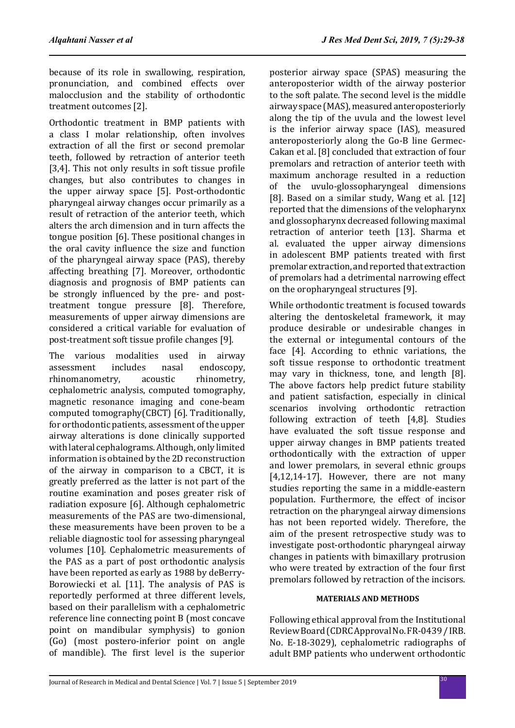because of its role in swallowing, respiration, pronunciation, and combined effects over malocclusion and the stability of orthodontic treatment outcomes [2].

Orthodontic treatment in BMP patients with a class I molar relationship, often involves extraction of all the first or second premolar teeth, followed by retraction of anterior teeth [3,4]. This not only results in soft tissue profile changes, but also contributes to changes in the upper airway space [5]. Post-orthodontic pharyngeal airway changes occur primarily as a result of retraction of the anterior teeth, which alters the arch dimension and in turn affects the tongue position [6]. These positional changes in the oral cavity influence the size and function of the pharyngeal airway space (PAS), thereby affecting breathing [7]. Moreover, orthodontic diagnosis and prognosis of BMP patients can be strongly influenced by the pre- and posttreatment tongue pressure [8]. Therefore, measurements of upper airway dimensions are considered a critical variable for evaluation of post-treatment soft tissue profile changes [9].

The various modalities used in airway<br>assessment includes nasal endoscopy, s nasal endoscopy,<br>acoustic rhinometry, rhinomanometry, cephalometric analysis, computed tomography, magnetic resonance imaging and cone-beam computed tomography(CBCT) [6]. Traditionally, for orthodontic patients, assessment of the upper airway alterations is done clinically supported with lateral cephalograms. Although, only limited information is obtained by the 2D reconstruction of the airway in comparison to a CBCT, it is greatly preferred as the latter is not part of the routine examination and poses greater risk of radiation exposure [6]. Although cephalometric measurements of the PAS are two-dimensional, these measurements have been proven to be a reliable diagnostic tool for assessing pharyngeal volumes [10]. Cephalometric measurements of the PAS as a part of post orthodontic analysis have been reported as early as 1988 by deBerry-Borowiecki et al. [11]. The analysis of PAS is reportedly performed at three different levels, based on their parallelism with a cephalometric reference line connecting point B (most concave point on mandibular symphysis) to gonion (Go) (most postero-inferior point on angle of mandible). The first level is the superior posterior airway space (SPAS) measuring the anteroposterior width of the airway posterior to the soft palate. The second level is the middle airway space (MAS), measured anteroposteriorly along the tip of the uvula and the lowest level is the inferior airway space (IAS), measured anteroposteriorly along the Go-B line Germec-Cakan et al. [8] concluded that extraction of four premolars and retraction of anterior teeth with maximum anchorage resulted in a reduction of the uvulo-glossopharyngeal dimensions [8]. Based on a similar study, Wang et al. [12] reported that the dimensions of the velopharynx and glossopharynx decreased following maximal retraction of anterior teeth [13]. Sharma et al. evaluated the upper airway dimensions in adolescent BMP patients treated with first premolar extraction, and reported that extraction of premolars had a detrimental narrowing effect on the oropharyngeal structures [9].

While orthodontic treatment is focused towards altering the dentoskeletal framework, it may produce desirable or undesirable changes in the external or integumental contours of the face [4]. According to ethnic variations, the soft tissue response to orthodontic treatment may vary in thickness, tone, and length [8]. The above factors help predict future stability and patient satisfaction, especially in clinical scenarios involving orthodontic retraction following extraction of teeth [4,8]. Studies have evaluated the soft tissue response and upper airway changes in BMP patients treated orthodontically with the extraction of upper and lower premolars, in several ethnic groups [4,12,14-17]. However, there are not many studies reporting the same in a middle-eastern population. Furthermore, the effect of incisor retraction on the pharyngeal airway dimensions has not been reported widely. Therefore, the aim of the present retrospective study was to investigate post-orthodontic pharyngeal airway changes in patients with bimaxillary protrusion who were treated by extraction of the four first premolars followed by retraction of the incisors.

## **MATERIALS AND METHODS**

Following ethical approval from the Institutional Review Board (CDRC Approval No. FR-0439 / IRB. No. E-18-3029), cephalometric radiographs of adult BMP patients who underwent orthodontic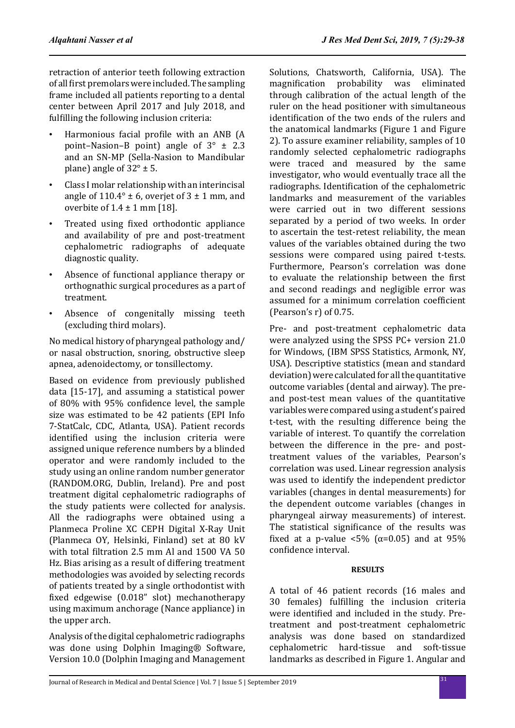retraction of anterior teeth following extraction of all first premolars were included. The sampling frame included all patients reporting to a dental center between April 2017 and July 2018, and fulfilling the following inclusion criteria:

- Harmonious facial profile with an ANB (A point–Nasion–B point) angle of  $3^\circ \pm 2.3$ and an SN-MP (Sella-Nasion to Mandibular plane) angle of  $32^\circ \pm 5$ .
- Class I molar relationship with an interincisal angle of  $110.4^\circ \pm 6$ , overjet of  $3 \pm 1$  mm, and overbite of  $1.4 \pm 1$  mm [18].
- Treated using fixed orthodontic appliance and availability of pre and post-treatment cephalometric radiographs of adequate diagnostic quality.
- Absence of functional appliance therapy or orthognathic surgical procedures as a part of treatment.
- Absence of congenitally missing teeth (excluding third molars).

No medical history of pharyngeal pathology and/ or nasal obstruction, snoring, obstructive sleep apnea, adenoidectomy, or tonsillectomy.

Based on evidence from previously published data [15-17], and assuming a statistical power of 80% with 95% confidence level, the sample size was estimated to be 42 patients (EPI Info 7-StatCalc, CDC, Atlanta, USA). Patient records identified using the inclusion criteria were assigned unique reference numbers by a blinded operator and were randomly included to the study using an online random number generator (RANDOM.ORG, Dublin, Ireland). Pre and post treatment digital cephalometric radiographs of the study patients were collected for analysis. All the radiographs were obtained using a Planmeca Proline XC CEPH Digital X-Ray Unit (Planmeca OY, Helsinki, Finland) set at 80 kV with total filtration 2.5 mm Al and 1500 VA 50 Hz. Bias arising as a result of differing treatment methodologies was avoided by selecting records of patients treated by a single orthodontist with fixed edgewise (0.018" slot) mechanotherapy using maximum anchorage (Nance appliance) in the upper arch.

Analysis of the digital cephalometric radiographs was done using Dolphin Imaging® Software, Version 10.0 (Dolphin Imaging and Management Solutions, Chatsworth, California, USA). The magnification probability was eliminated through calibration of the actual length of the ruler on the head positioner with simultaneous identification of the two ends of the rulers and the anatomical landmarks (Figure 1 and Figure 2). To assure examiner reliability, samples of 10 randomly selected cephalometric radiographs were traced and measured by the same investigator, who would eventually trace all the radiographs. Identification of the cephalometric landmarks and measurement of the variables were carried out in two different sessions separated by a period of two weeks. In order to ascertain the test-retest reliability, the mean values of the variables obtained during the two sessions were compared using paired t-tests. Furthermore, Pearson's correlation was done to evaluate the relationship between the first and second readings and negligible error was assumed for a minimum correlation coefficient (Pearson's r) of 0.75.

Pre- and post-treatment cephalometric data were analyzed using the SPSS PC+ version 21.0 for Windows, (IBM SPSS Statistics, Armonk, NY, USA). Descriptive statistics (mean and standard deviation) were calculated for all the quantitative outcome variables (dental and airway). The preand post-test mean values of the quantitative variables were compared using a student's paired t-test, with the resulting difference being the variable of interest. To quantify the correlation between the difference in the pre- and posttreatment values of the variables, Pearson's correlation was used. Linear regression analysis was used to identify the independent predictor variables (changes in dental measurements) for the dependent outcome variables (changes in pharyngeal airway measurements) of interest. The statistical significance of the results was fixed at a p-value  $\langle 5\%$  ( $\alpha$ =0.05) and at 95% confidence interval.

## **RESULTS**

A total of 46 patient records (16 males and 30 females) fulfilling the inclusion criteria were identified and included in the study. Pretreatment and post-treatment cephalometric analysis was done based on standardized hard-tissue and landmarks as described in Figure 1. Angular and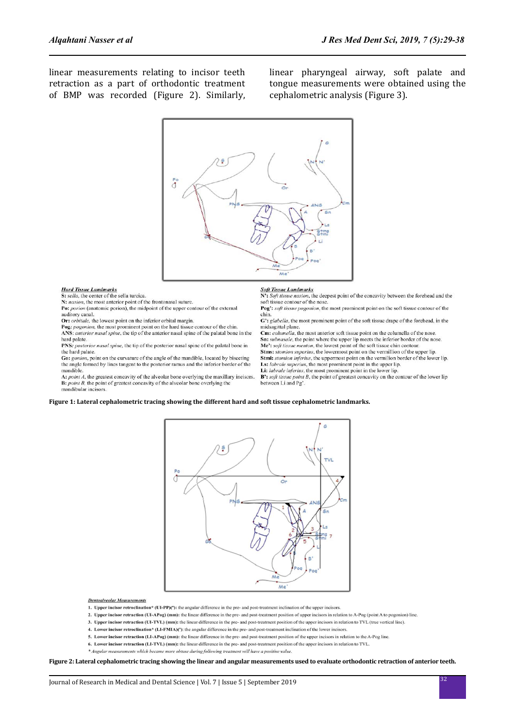linear measurements relating to incisor teeth retraction as a part of orthodontic treatment of BMP was recorded (Figure 2). Similarly, linear pharyngeal airway, soft palate and tongue measurements were obtained using the cephalometric analysis (Figure 3).



**Hard Tissue Landmarks**<br>**S:** sella, the center of the sella turcica

N: nasion, the most anterior point of the frontonasal suture.<br>Po: *porion* (anatomic porion), the midpoint of the upper contour of the external auditory canal.

Or: orbitale, the lowest point on the inferior orbital margin.

Pog: pogonion, the most prominent point on the hard tissue contour of the chin.

ANS: anterior nasal spine, the tip of the anterior nasal spine of the palatal bone in the hard palate.

PNS: posterior nasal spine, the tip of the posterior nasal spine of the palatal bone in the hard palate.

Go: gonion, point on the curvature of the angle of the mandible, located by bisecting the angle formed by lines tangent to the posterior ramus and the inferior border of the mandible.

A: point A, the greatest concavity of the alveolar bone overlying the maxillary incisors.  $\bf{B}$ : *point B*, the point of greatest concavity of the alveolar bone overlying the mandibular incisors.

**Soft Tissue Landmarks**<br>N': Soft tissue nasion, the deepest point of the concavity between the forehead and the soft tissue contour of the nose

Pog': soft tissue pogonion, the most prominent point on the soft tissue contour of the chin.

G': glabella, the most prominent point of the soft tissue drape of the forehead, in the midsagittal plane

Cm: columella, the most anterior soft tissue point on the columella of the nose. Sn: subnasale, the point where the upper lip meets the inferior border of the nose

 $Me<sup>2</sup>$ : *soft tissue menton*, the lowest point of the soft tissue chin contour.<br>**Stms:** *stomion superius*, the lowermost point on the vermillion of the upper lip.

Stmi: stomion inferius, the uppermost point on the vermilion border of the lower lip. Ls: labrale superius, the most prominent point in the upper lip.

Li: labrale inferius, the most prominent point in the lower lip.

 $\mathbf{B}^*$ : soft tissue point B, the point of greatest concavity on the contour of the lower lip between Li and Pg'

### **Figure 1: Lateral cephalometric tracing showing the different hard and soft tissue cephalometric landmarks.**



#### **Dentoalveolar Measurements**

- 1. Upper incisor retroclination\* (UI-PP)(\*): the angular difference in the pre- and post-treatment inclination of the upper incisors
- 2. Upper incisor retraction (UI-APog) (mm); the linear difference in the pre- and post-treatment position of upper incisors in relation to A-Pog (point A to pogonion) line. 3. Upper incisor retraction (UI-TVL) (mm): the linear difference in the pre- and post-treatment position of the upper incisors in relation to TVL (true vertical line).
- 
- 4. Lower incisor retroclination\* (LI-FMIA)(°): the angular difference in the pre- and post-treatment inclination of the lower incisors
- 5. Lower incisor retraction (LI-APog) (mm): the linear difference in the pre- and post-treatment position of the upper incisors in relation to the A-Pog line
	- 6. Lower incisor retraction (LI-TVL) (mm): the linear difference in the pre- and post-treatment position of the upper incisors in relation to TVL.
	- \* Angular measurements which became more obtuse during following treatment will have a positive value

### **Figure 2: Lateral cephalometric tracing showing the linear and angular measurements used to evaluate orthodontic retraction of anterior teeth.**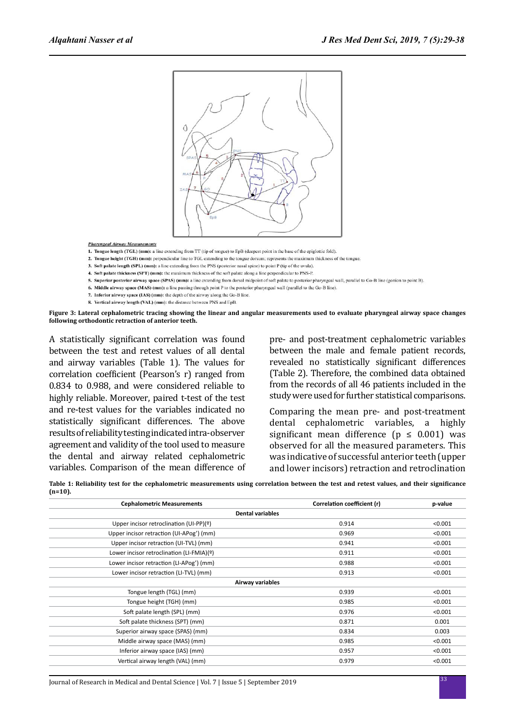

**Pharyngeal Airway Measurements** 

1. Tongue length (TGL) (mm): a line extending from TT (tip of tongue) to EpB (deepest point in the base of the epiglottic fold)

2. Tongue height (TGH) (mm): perpendicular line to TGL extending to the tongue dorsum; represents the maximum thickness of the tongue

- 3. Soft palate length (SPL) (mm): a line extending from the PNS (posterior nasal spine) to point P (tip of the uvula).
- 4. Soft palate thickness (SPT) (mm): the maximum thickness of the soft palate along a line perpendicular to PNS-P.
- 5. Superior posterior airway space (SPAS) (mm): a line extending from dorsal midpoint of soft palate to posterior pharyngeal wall, parallel to Go-B line (gonion to point B).
- 6. Middle airway space (MAS) (mm): a line passing through point P to the posterior pharyngeal wall (parallel to the Go-B line).
- 7. Inferior airway space (IAS) (mm): the depth of the airway along the Go-B line. 8. Vertical airway length (VAL) (mm): the distance between PNS and EpB.

**Figure 3: Lateral cephalometric tracing showing the linear and angular measurements used to evaluate pharyngeal airway space changes following orthodontic retraction of anterior teeth.**

A statistically significant correlation was found between the test and retest values of all dental and airway variables (Table 1). The values for correlation coefficient (Pearson's r) ranged from 0.834 to 0.988, and were considered reliable to highly reliable. Moreover, paired t-test of the test and re-test values for the variables indicated no statistically significant differences. The above results of reliability testing indicated intra-observer agreement and validity of the tool used to measure the dental and airway related cephalometric variables. Comparison of the mean difference of pre- and post-treatment cephalometric variables between the male and female patient records, revealed no statistically significant differences (Table 2). Therefore, the combined data obtained from the records of all 46 patients included in the study were used for further statistical comparisons.

Comparing the mean pre- and post-treatment dental cephalometric variables, a highly significant mean difference ( $p \leq 0.001$ ) was observed for all the measured parameters. This was indicative of successful anterior teeth (upper and lower incisors) retraction and retroclination

**Table 1: Reliability test for the cephalometric measurements using correlation between the test and retest values, and their significance (n=10).**

| <b>Cephalometric Measurements</b>         | Correlation coefficient (r) | p-value |  |  |  |
|-------------------------------------------|-----------------------------|---------|--|--|--|
| <b>Dental variables</b>                   |                             |         |  |  |  |
| Upper incisor retroclination (UI-PP)(º)   | 0.914                       | < 0.001 |  |  |  |
| Upper incisor retraction (UI-APog') (mm)  | 0.969                       | < 0.001 |  |  |  |
| Upper incisor retraction (UI-TVL) (mm)    | 0.941                       | < 0.001 |  |  |  |
| Lower incisor retroclination (LI-FMIA)(º) | 0.911                       | < 0.001 |  |  |  |
| Lower incisor retraction (LI-APog') (mm)  | 0.988                       | < 0.001 |  |  |  |
| Lower incisor retraction (LI-TVL) (mm)    | 0.913                       | < 0.001 |  |  |  |
| Airway variables                          |                             |         |  |  |  |
| Tongue length (TGL) (mm)                  | 0.939                       | < 0.001 |  |  |  |
| Tongue height (TGH) (mm)                  | 0.985                       | < 0.001 |  |  |  |
| Soft palate length (SPL) (mm)             | 0.976                       | < 0.001 |  |  |  |
| Soft palate thickness (SPT) (mm)          | 0.871                       | 0.001   |  |  |  |
| Superior airway space (SPAS) (mm)         | 0.834                       | 0.003   |  |  |  |
| Middle airway space (MAS) (mm)            | 0.985                       | < 0.001 |  |  |  |
| Inferior airway space (IAS) (mm)          | 0.957                       | < 0.001 |  |  |  |
| Vertical airway length (VAL) (mm)         | 0.979                       | < 0.001 |  |  |  |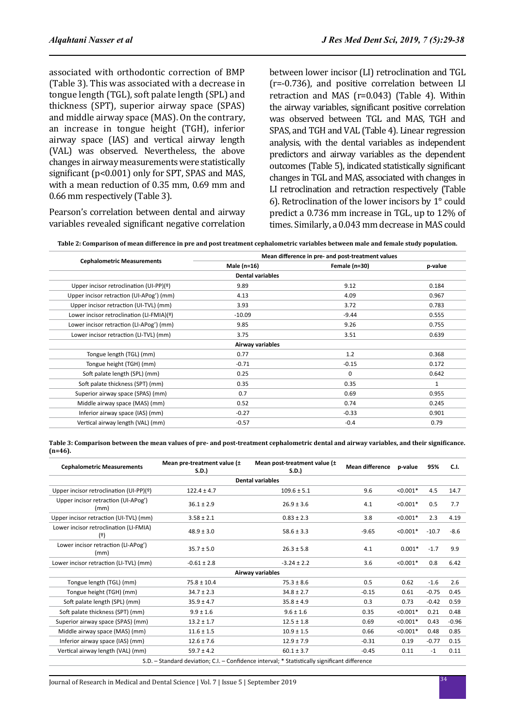associated with orthodontic correction of BMP (Table 3). This was associated with a decrease in tongue length (TGL), soft palate length (SPL) and thickness (SPT), superior airway space (SPAS) and middle airway space (MAS). On the contrary, an increase in tongue height (TGH), inferior airway space (IAS) and vertical airway length (VAL) was observed. Nevertheless, the above changes in airway measurements were statistically significant (p<0.001) only for SPT, SPAS and MAS, with a mean reduction of 0.35 mm, 0.69 mm and 0.66 mm respectively (Table 3).

Pearson's correlation between dental and airway variables revealed significant negative correlation between lower incisor (LI) retroclination and TGL (r=-0.736), and positive correlation between LI retraction and MAS (r=0.043) (Table 4). Within the airway variables, significant positive correlation was observed between TGL and MAS, TGH and SPAS, and TGH and VAL (Table 4). Linear regression analysis, with the dental variables as independent predictors and airway variables as the dependent outcomes (Table 5), indicated statistically significant changes in TGL and MAS, associated with changes in LI retroclination and retraction respectively (Table 6). Retroclination of the lower incisors by 1° could predict a 0.736 mm increase in TGL, up to 12% of times. Similarly, a 0.043 mm decrease in MAS could

|  |  |  | Table 2: Comparison of mean difference in pre and post treatment cephalometric variables between male and female study population. |
|--|--|--|------------------------------------------------------------------------------------------------------------------------------------|
|--|--|--|------------------------------------------------------------------------------------------------------------------------------------|

|                                           | Mean difference in pre- and post-treatment values |               |         |
|-------------------------------------------|---------------------------------------------------|---------------|---------|
| <b>Cephalometric Measurements</b>         | Male (n=16)                                       | Female (n=30) | p-value |
|                                           | <b>Dental variables</b>                           |               |         |
| Upper incisor retroclination (UI-PP)(2)   | 9.89                                              | 9.12          | 0.184   |
| Upper incisor retraction (UI-APog') (mm)  | 4.13                                              | 4.09          | 0.967   |
| Upper incisor retraction (UI-TVL) (mm)    | 3.93                                              | 3.72          | 0.783   |
| Lower incisor retroclination (LI-FMIA)(º) | $-10.09$                                          | $-9.44$       | 0.555   |
| Lower incisor retraction (LI-APog') (mm)  | 9.85                                              | 9.26          | 0.755   |
| Lower incisor retraction (LI-TVL) (mm)    | 3.75                                              | 3.51          | 0.639   |
|                                           | Airway variables                                  |               |         |
| Tongue length (TGL) (mm)                  | 0.77                                              | 1.2           | 0.368   |
| Tongue height (TGH) (mm)                  | $-0.71$                                           | $-0.15$       | 0.172   |
| Soft palate length (SPL) (mm)             | 0.25                                              | $\mathbf 0$   | 0.642   |
| Soft palate thickness (SPT) (mm)          | 0.35                                              | 0.35          | 1       |
| Superior airway space (SPAS) (mm)         | 0.7                                               | 0.69          | 0.955   |
| Middle airway space (MAS) (mm)            | 0.52                                              | 0.74          | 0.245   |
| Inferior airway space (IAS) (mm)          | $-0.27$                                           | $-0.33$       | 0.901   |
| Vertical airway length (VAL) (mm)         | $-0.57$                                           | $-0.4$        | 0.79    |

**Table 3: Comparison between the mean values of pre- and post-treatment cephalometric dental and airway variables, and their significance. (n=46).**

| <b>Cephalometric Measurements</b>             | Mean pre-treatment value (±<br>S.D.)                                                          | Mean post-treatment value (±<br>S.D. | <b>Mean difference</b> | p-value    | 95%     | C.I.    |  |  |  |
|-----------------------------------------------|-----------------------------------------------------------------------------------------------|--------------------------------------|------------------------|------------|---------|---------|--|--|--|
|                                               | <b>Dental variables</b>                                                                       |                                      |                        |            |         |         |  |  |  |
| Upper incisor retroclination (UI-PP)(2)       | $122.4 \pm 4.7$                                                                               | $109.6 \pm 5.1$                      | 9.6                    | $< 0.001*$ | 4.5     | 14.7    |  |  |  |
| Upper incisor retraction (UI-APog')<br>(mm)   | $36.1 \pm 2.9$                                                                                | $26.9 \pm 3.6$                       | 4.1                    | $< 0.001*$ | 0.5     | 7.7     |  |  |  |
| Upper incisor retraction (UI-TVL) (mm)        | $3.58 \pm 2.1$                                                                                | $0.83 \pm 2.3$                       | 3.8                    | $< 0.001*$ | 2.3     | 4.19    |  |  |  |
| Lower incisor retroclination (LI-FMIA)<br>(2) | $48.9 \pm 3.0$                                                                                | $58.6 \pm 3.3$                       | $-9.65$                | $< 0.001*$ | $-10.7$ | $-8.6$  |  |  |  |
| Lower incisor retraction (LI-APog')<br>(mm)   | $35.7 \pm 5.0$                                                                                | $26.3 \pm 5.8$                       | 4.1                    | $0.001*$   | $-1.7$  | 9.9     |  |  |  |
| Lower incisor retraction (LI-TVL) (mm)        | $-0.61 \pm 2.8$                                                                               | $-3.24 \pm 2.2$                      | 3.6                    | $< 0.001*$ | 0.8     | 6.42    |  |  |  |
|                                               |                                                                                               | Airway variables                     |                        |            |         |         |  |  |  |
| Tongue length (TGL) (mm)                      | $75.8 \pm 10.4$                                                                               | $75.3 \pm 8.6$                       | 0.5                    | 0.62       | $-1.6$  | 2.6     |  |  |  |
| Tongue height (TGH) (mm)                      | $34.7 \pm 2.3$                                                                                | $34.8 \pm 2.7$                       | $-0.15$                | 0.61       | $-0.75$ | 0.45    |  |  |  |
| Soft palate length (SPL) (mm)                 | $35.9 \pm 4.7$                                                                                | $35.8 \pm 4.9$                       | 0.3                    | 0.73       | $-0.42$ | 0.59    |  |  |  |
| Soft palate thickness (SPT) (mm)              | $9.9 \pm 1.6$                                                                                 | $9.6 \pm 1.6$                        | 0.35                   | $< 0.001*$ | 0.21    | 0.48    |  |  |  |
| Superior airway space (SPAS) (mm)             | $13.2 \pm 1.7$                                                                                | $12.5 \pm 1.8$                       | 0.69                   | $< 0.001*$ | 0.43    | $-0.96$ |  |  |  |
| Middle airway space (MAS) (mm)                | $11.6 \pm 1.5$                                                                                | $10.9 \pm 1.5$                       | 0.66                   | $< 0.001*$ | 0.48    | 0.85    |  |  |  |
| Inferior airway space (IAS) (mm)              | $12.6 \pm 7.6$                                                                                | $12.9 \pm 7.9$                       | $-0.31$                | 0.19       | $-0.77$ | 0.15    |  |  |  |
| Vertical airway length (VAL) (mm)             | $59.7 \pm 4.2$                                                                                | $60.1 \pm 3.7$                       | $-0.45$                | 0.11       | $-1$    | 0.11    |  |  |  |
|                                               | S.D. - Standard deviation; C.I. - Confidence interval; * Statistically significant difference |                                      |                        |            |         |         |  |  |  |

S.D. – Standard deviation; C.I. – Confidence interval; \* Statistically significant difference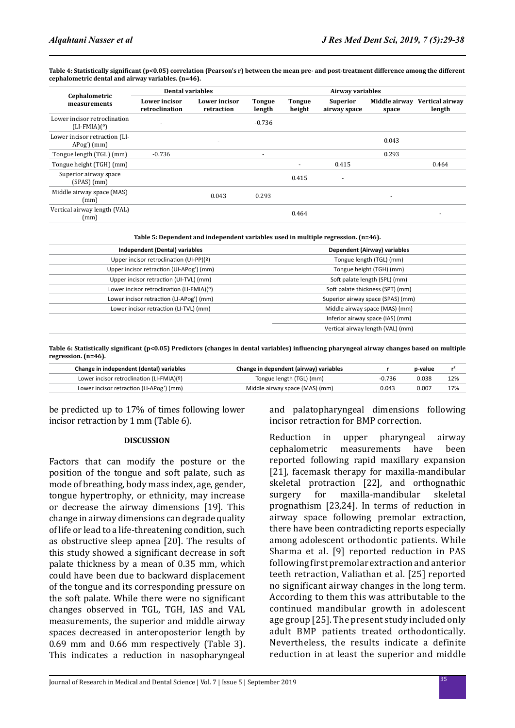Table 4: Statistically significant (p<0.05) correlation (Pearson's r) between the mean pre- and post-treatment difference among the different **cephalometric dental and airway variables. (n=46).**

| Cephalometric<br>measurements                   | <b>Dental variables</b>                |                             |                         | Airway variables         |                                 |                        |                           |
|-------------------------------------------------|----------------------------------------|-----------------------------|-------------------------|--------------------------|---------------------------------|------------------------|---------------------------|
|                                                 | <b>Lower</b> incisor<br>retroclination | Lower incisor<br>retraction | <b>Tongue</b><br>length | <b>Tongue</b><br>height  | <b>Superior</b><br>airway space | Middle airway<br>space | Vertical airway<br>length |
| Lower incisor retroclination<br>$(LI-FMIA)(9)$  |                                        |                             | $-0.736$                |                          |                                 |                        |                           |
| Lower incisor retraction (LI-<br>$Apog'$ $(mm)$ |                                        | ۰                           |                         |                          |                                 | 0.043                  |                           |
| Tongue length (TGL) (mm)                        | $-0.736$                               |                             | ٠                       |                          |                                 | 0.293                  |                           |
| Tongue height (TGH) (mm)                        |                                        |                             |                         | $\overline{\phantom{0}}$ | 0.415                           |                        | 0.464                     |
| Superior airway space<br>(SPAS)(mm)             |                                        |                             |                         | 0.415                    | $\overline{\phantom{a}}$        |                        |                           |
| Middle airway space (MAS)<br>(mm)               |                                        | 0.043                       | 0.293                   |                          |                                 | ٠                      |                           |
| Vertical airway length (VAL)<br>(mm)            |                                        |                             |                         | 0.464                    |                                 |                        |                           |

**Table 5: Dependent and independent variables used in multiple regression. (n=46).**

| Independent (Dental) variables            | Dependent (Airway) variables      |
|-------------------------------------------|-----------------------------------|
| Upper incisor retroclination (UI-PP)(2)   | Tongue length (TGL) (mm)          |
| Upper incisor retraction (UI-APog') (mm)  | Tongue height (TGH) (mm)          |
| Upper incisor retraction (UI-TVL) (mm)    | Soft palate length (SPL) (mm)     |
| Lower incisor retroclination (LI-FMIA)(º) | Soft palate thickness (SPT) (mm)  |
| Lower incisor retraction (LI-APog') (mm)  | Superior airway space (SPAS) (mm) |
| Lower incisor retraction (LI-TVL) (mm)    | Middle airway space (MAS) (mm)    |
|                                           | Inferior airway space (IAS) (mm)  |
|                                           | Vertical airway length (VAL) (mm) |

**Table 6: Statistically significant (p<0.05) Predictors (changes in dental variables) influencing pharyngeal airway changes based on multiple regression. (n=46).**

| Change in independent (dental) variables  | Change in dependent (airway) variables |          | p-value | r   |
|-------------------------------------------|----------------------------------------|----------|---------|-----|
| Lower incisor retroclination (LI-FMIA)(º) | Tongue length (TGL) (mm)               | $-0.736$ | 0.038   | 12% |
| Lower incisor retraction (LI-APog') (mm)  | Middle airway space (MAS) (mm)         | 0.043    | 0.007   | 17% |

be predicted up to 17% of times following lower incisor retraction by 1 mm (Table 6).

## **DISCUSSION**

Factors that can modify the posture or the position of the tongue and soft palate, such as mode of breathing, body mass index, age, gender, tongue hypertrophy, or ethnicity, may increase or decrease the airway dimensions [19]. This change in airway dimensions can degrade quality of life or lead to a life-threatening condition, such as obstructive sleep apnea [20]. The results of this study showed a significant decrease in soft palate thickness by a mean of 0.35 mm, which could have been due to backward displacement of the tongue and its corresponding pressure on the soft palate. While there were no significant changes observed in TGL, TGH, IAS and VAL measurements, the superior and middle airway spaces decreased in anteroposterior length by 0.69 mm and 0.66 mm respectively (Table 3). This indicates a reduction in nasopharyngeal and palatopharyngeal dimensions following incisor retraction for BMP correction.

Reduction in upper pharyngeal airway<br>cephalometric measurements have been measurements reported following rapid maxillary expansion [21], facemask therapy for maxilla-mandibular skeletal protraction [22], and orthognathic surgery for maxilla-mandibular skeletal prognathism [23,24]. In terms of reduction in airway space following premolar extraction, there have been contradicting reports especially among adolescent orthodontic patients. While Sharma et al. [9] reported reduction in PAS following first premolar extraction and anterior teeth retraction, Valiathan et al. [25] reported no significant airway changes in the long term. According to them this was attributable to the continued mandibular growth in adolescent age group [25]. The present study included only adult BMP patients treated orthodontically. Nevertheless, the results indicate a definite reduction in at least the superior and middle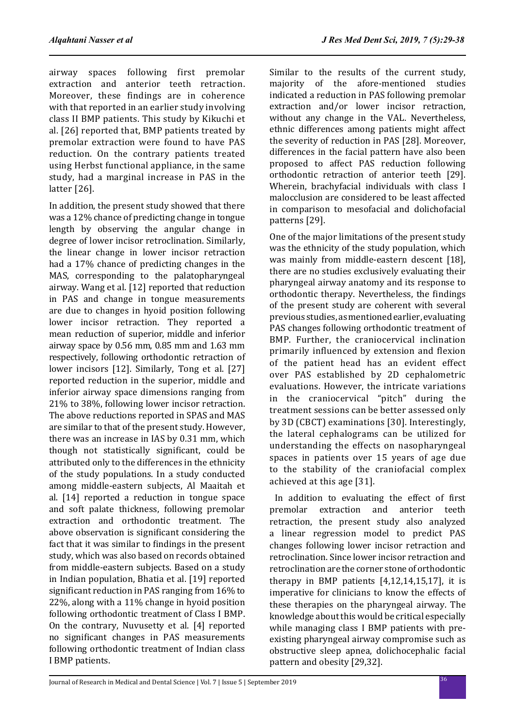airway spaces following first premolar extraction and anterior teeth retraction. Moreover, these findings are in coherence with that reported in an earlier study involving class II BMP patients. This study by Kikuchi et al. [26] reported that, BMP patients treated by premolar extraction were found to have PAS reduction. On the contrary patients treated using Herbst functional appliance, in the same study, had a marginal increase in PAS in the latter [26].

In addition, the present study showed that there was a 12% chance of predicting change in tongue length by observing the angular change in degree of lower incisor retroclination. Similarly, the linear change in lower incisor retraction had a 17% chance of predicting changes in the MAS, corresponding to the palatopharyngeal airway. Wang et al. [12] reported that reduction in PAS and change in tongue measurements are due to changes in hyoid position following lower incisor retraction. They reported a mean reduction of superior, middle and inferior airway space by 0.56 mm, 0.85 mm and 1.63 mm respectively, following orthodontic retraction of lower incisors [12]. Similarly, Tong et al. [27] reported reduction in the superior, middle and inferior airway space dimensions ranging from 21% to 38%, following lower incisor retraction. The above reductions reported in SPAS and MAS are similar to that of the present study. However, there was an increase in IAS by 0.31 mm, which though not statistically significant, could be attributed only to the differences in the ethnicity of the study populations. In a study conducted among middle-eastern subjects, Al Maaitah et al. [14] reported a reduction in tongue space and soft palate thickness, following premolar extraction and orthodontic treatment. The above observation is significant considering the fact that it was similar to findings in the present study, which was also based on records obtained from middle-eastern subjects. Based on a study in Indian population, Bhatia et al. [19] reported significant reduction in PAS ranging from 16% to 22%, along with a 11% change in hyoid position following orthodontic treatment of Class I BMP. On the contrary, Nuvusetty et al. [4] reported no significant changes in PAS measurements following orthodontic treatment of Indian class I BMP patients.

Similar to the results of the current study, majority of the afore-mentioned studies indicated a reduction in PAS following premolar extraction and/or lower incisor retraction, without any change in the VAL. Nevertheless, ethnic differences among patients might affect the severity of reduction in PAS [28]. Moreover, differences in the facial pattern have also been proposed to affect PAS reduction following orthodontic retraction of anterior teeth [29]. Wherein, brachyfacial individuals with class I malocclusion are considered to be least affected in comparison to mesofacial and dolichofacial patterns [29].

One of the major limitations of the present study was the ethnicity of the study population, which was mainly from middle-eastern descent [18], there are no studies exclusively evaluating their pharyngeal airway anatomy and its response to orthodontic therapy. Nevertheless, the findings of the present study are coherent with several previous studies, as mentioned earlier, evaluating PAS changes following orthodontic treatment of BMP. Further, the craniocervical inclination primarily influenced by extension and flexion of the patient head has an evident effect over PAS established by 2D cephalometric evaluations. However, the intricate variations in the craniocervical "pitch" during the treatment sessions can be better assessed only by 3D (CBCT) examinations [30]. Interestingly, the lateral cephalograms can be utilized for understanding the effects on nasopharyngeal spaces in patients over 15 years of age due to the stability of the craniofacial complex achieved at this age [31].

In addition to evaluating the effect of first<br>premolar extraction and anterior teeth extraction and anterior teeth retraction, the present study also analyzed a linear regression model to predict PAS changes following lower incisor retraction and retroclination. Since lower incisor retraction and retroclination are the corner stone of orthodontic therapy in BMP patients [4,12,14,15,17], it is imperative for clinicians to know the effects of these therapies on the pharyngeal airway. The knowledge about this would be critical especially while managing class I BMP patients with preexisting pharyngeal airway compromise such as obstructive sleep apnea, dolichocephalic facial pattern and obesity [29,32].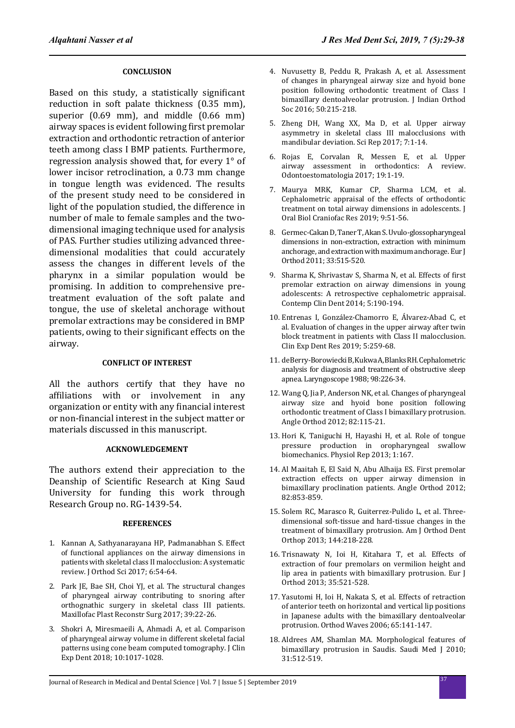## **CONCLUSION**

Based on this study, a statistically significant reduction in soft palate thickness (0.35 mm), superior (0.69 mm), and middle (0.66 mm) airway spaces is evident following first premolar extraction and orthodontic retraction of anterior teeth among class I BMP patients. Furthermore, regression analysis showed that, for every 1° of lower incisor retroclination, a 0.73 mm change in tongue length was evidenced. The results of the present study need to be considered in light of the population studied, the difference in number of male to female samples and the twodimensional imaging technique used for analysis of PAS. Further studies utilizing advanced threedimensional modalities that could accurately assess the changes in different levels of the pharynx in a similar population would be promising. In addition to comprehensive pretreatment evaluation of the soft palate and tongue, the use of skeletal anchorage without premolar extractions may be considered in BMP patients, owing to their significant effects on the airway.

## **CONFLICT OF INTEREST**

All the authors certify that they have no affiliations with or involvement in any organization or entity with any financial interest or non-financial interest in the subject matter or materials discussed in this manuscript.

## **ACKNOWLEDGEMENT**

The authors extend their appreciation to the Deanship of Scientific Research at King Saud University for funding this work through Research Group no. RG-1439-54.

## **REFERENCES**

- 1. Kannan A, Sathyanarayana HP, Padmanabhan S. Effect of functional appliances on the airway dimensions in patients with skeletal class II malocclusion: A systematic review. J Orthod Sci 2017; 6:54-64.
- 2. Park JE, Bae SH, Choi YJ, et al. The structural changes of pharyngeal airway contributing to snoring after orthognathic surgery in skeletal class III patients. Maxillofac Plast Reconstr Surg 2017; 39:22-26.
- 3. Shokri A, Miresmaeili A, Ahmadi A, et al. Comparison of pharyngeal airway volume in different skeletal facial patterns using cone beam computed tomography. J Clin Exp Dent 2018; 10:1017-1028.
- 4. Nuvusetty B, Peddu R, Prakash A, et al. Assessment of changes in pharyngeal airway size and hyoid bone position following orthodontic treatment of Class I bimaxillary dentoalveolar protrusion. J Indian Orthod Soc 2016; 50:215-218.
- 5. Zheng DH, Wang XX, Ma D, et al. Upper airway asymmetry in skeletal class III malocclusions with mandibular deviation. Sci Rep 2017; 7:1-14.
- 6. Rojas E, Corvalan R, Messen E, et al. Upper airway assessment in orthodontics: A review. Odontoestomatologia 2017; 19:1-19.
- 7. Maurya MRK, Kumar CP, Sharma LCM, et al. Cephalometric appraisal of the effects of orthodontic treatment on total airway dimensions in adolescents. J Oral Biol Craniofac Res 2019; 9:51-56.
- 8. Germec-Cakan D, Taner T, Akan S. Uvulo-glossopharyngeal dimensions in non-extraction, extraction with minimum anchorage, and extraction with maximum anchorage. Eur J Orthod 2011; 33:515-520.
- 9. Sharma K, Shrivastav S, Sharma N, et al. Effects of first premolar extraction on airway dimensions in young adolescents: A retrospective cephalometric appraisal. Contemp Clin Dent 2014; 5:190-194.
- 10. Entrenas I, González-Chamorro E, Álvarez-Abad C, et al. Evaluation of changes in the upper airway after twin block treatment in patients with Class II malocclusion. Clin Exp Dent Res 2019; 5:259-68.
- 11. deBerry-Borowiecki B, Kukwa A, Blanks RH. Cephalometric analysis for diagnosis and treatment of obstructive sleep apnea. Laryngoscope 1988; 98:226-34.
- 12. Wang Q, Jia P, Anderson NK, et al. Changes of pharyngeal airway size and hyoid bone position following orthodontic treatment of Class I bimaxillary protrusion. Angle Orthod 2012; 82:115-21.
- 13. Hori K, Taniguchi H, Hayashi H, et al. Role of tongue pressure production in oropharyngeal swallow biomechanics. Physiol Rep 2013; 1:167.
- 14. Al Maaitah E, El Said N, Abu Alhaija ES. First premolar extraction effects on upper airway dimension in bimaxillary proclination patients. Angle Orthod 2012; 82:853-859.
- 15. Solem RC, Marasco R, Guiterrez-Pulido L, et al. Threedimensional soft-tissue and hard-tissue changes in the treatment of bimaxillary protrusion. Am J Orthod Dent Orthop 2013; 144:218-228.
- 16. Trisnawaty N, Ioi H, Kitahara T, et al. Effects of extraction of four premolars on vermilion height and lip area in patients with bimaxillary protrusion. Eur J Orthod 2013; 35:521-528.
- 17. Yasutomi H, Ioi H, Nakata S, et al. Effects of retraction of anterior teeth on horizontal and vertical lip positions in Japanese adults with the bimaxillary dentoalveolar protrusion. Orthod Waves 2006; 65:141-147.
- 18. Aldrees AM, Shamlan MA. Morphological features of bimaxillary protrusion in Saudis. Saudi Med J 2010; 31:512-519.